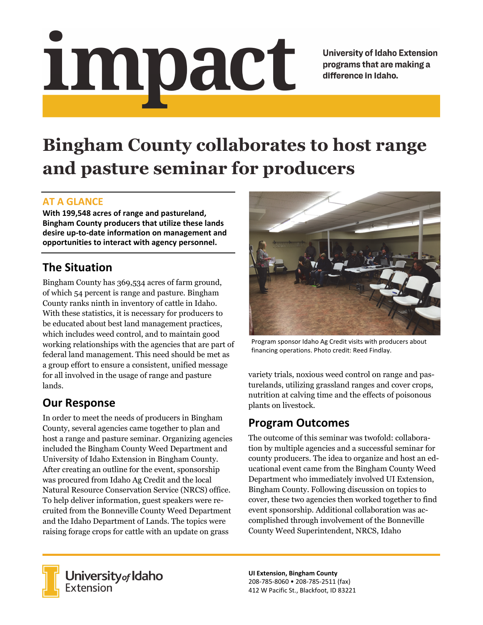# <u>impact</u>

**University of Idaho Extension** programs that are making a difference in Idaho.

# **Bingham County collaborates to host range and pasture seminar for producers**

#### **AT A GLANCE**

**With 199,548 acres of range and pastureland, Bingham County producers that utilize these lands desire up‐to‐date information on management and opportunities to interact with agency personnel.**

## **The Situation**

Bingham County has 369,534 acres of farm ground, of which 54 percent is range and pasture. Bingham County ranks ninth in inventory of cattle in Idaho. With these statistics, it is necessary for producers to be educated about best land management practices, which includes weed control, and to maintain good working relationships with the agencies that are part of federal land management. This need should be met as a group effort to ensure a consistent, unified message for all involved in the usage of range and pasture lands.

### **Our Response**

In order to meet the needs of producers in Bingham County, several agencies came together to plan and host a range and pasture seminar. Organizing agencies included the Bingham County Weed Department and University of Idaho Extension in Bingham County. After creating an outline for the event, sponsorship was procured from Idaho Ag Credit and the local Natural Resource Conservation Service (NRCS) office. To help deliver information, guest speakers were recruited from the Bonneville County Weed Department and the Idaho Department of Lands. The topics were raising forage crops for cattle with an update on grass



Program sponsor Idaho Ag Credit visits with producers about financing operations. Photo credit: Reed Findlay.

variety trials, noxious weed control on range and pasturelands, utilizing grassland ranges and cover crops, nutrition at calving time and the effects of poisonous plants on livestock.

### **Program Outcomes**

The outcome of this seminar was twofold: collaboration by multiple agencies and a successful seminar for county producers. The idea to organize and host an educational event came from the Bingham County Weed Department who immediately involved UI Extension, Bingham County. Following discussion on topics to cover, these two agencies then worked together to find event sponsorship. Additional collaboration was accomplished through involvement of the Bonneville County Weed Superintendent, NRCS, Idaho



University of Idaho<br>Extension

**UI Extension, Bingham County** 208‐785‐8060 • 208‐785‐2511 (fax) 412 W Pacific St., Blackfoot, ID 83221